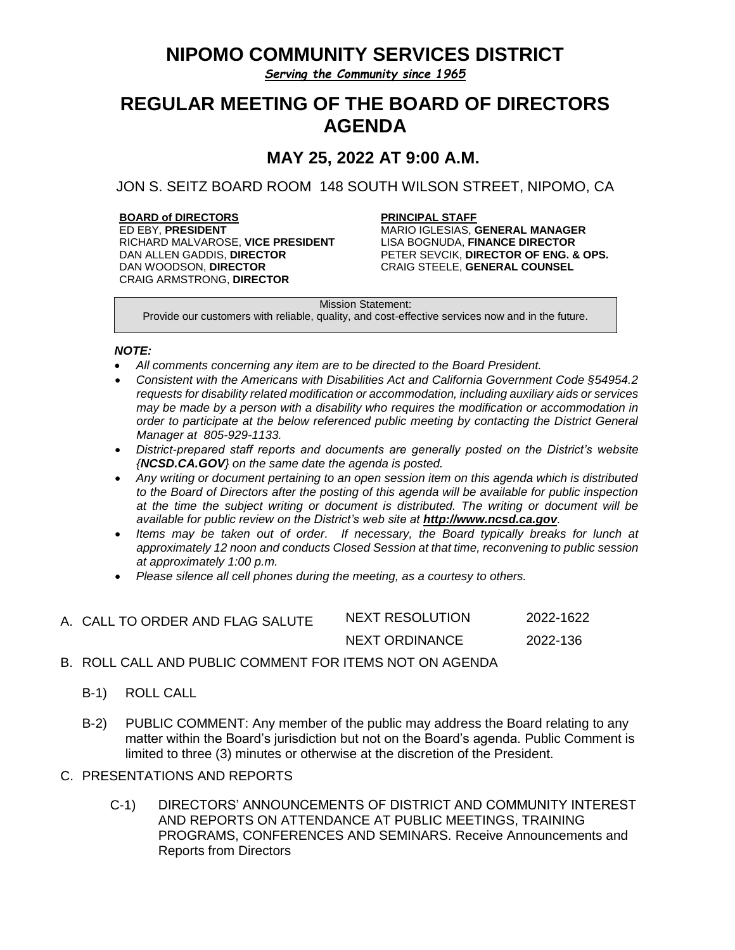## **NIPOMO COMMUNITY SERVICES DISTRICT**

*Serving the Community since 1965*

# **REGULAR MEETING OF THE BOARD OF DIRECTORS AGENDA**

**MAY 25, 2022 AT 9:00 A.M.**

JON S. SEITZ BOARD ROOM 148 SOUTH WILSON STREET, NIPOMO, CA

**BOARD of DIRECTORS PRINCIPAL STAFF** RICHARD MALVAROSE, **VICE PRESIDENT** LISA BOGNUDA, **FINANCE DIRECTOR** DAN WOODSON, **DIRECTOR** CRAIG ARMSTRONG, **DIRECTOR**

**MARIO IGLESIAS, GENERAL MANAGER<br>LISA BOGNUDA, FINANCE DIRECTOR** PETER SEVCIK, **DIRECTOR OF ENG. & OPS.** CRAIG STEELE, **GENERAL COUNSEL**

Mission Statement:

Provide our customers with reliable, quality, and cost-effective services now and in the future.

### *NOTE:*

- *All comments concerning any item are to be directed to the Board President.*
- *Consistent with the Americans with Disabilities Act and California Government Code §54954.2 requests for disability related modification or accommodation, including auxiliary aids or services may be made by a person with a disability who requires the modification or accommodation in order to participate at the below referenced public meeting by contacting the District General Manager at 805-929-1133.*
- *District-prepared staff reports and documents are generally posted on the District's website {NCSD.CA.GOV} on the same date the agenda is posted.*
- *Any writing or document pertaining to an open session item on this agenda which is distributed to the Board of Directors after the posting of this agenda will be available for public inspection at the time the subject writing or document is distributed. The writing or document will be available for public review on the District's web site at [http://www.ncsd.ca.gov](http://www.ncsd.ca.gov/).*
- Items may be taken out of order. If necessary, the Board typically breaks for lunch at *approximately 12 noon and conducts Closed Session at that time, reconvening to public session at approximately 1:00 p.m.*
- *Please silence all cell phones during the meeting, as a courtesy to others.*
- A. CALL TO ORDER AND FLAG SALUTE NEXT RESOLUTION 2022-1622 NEXT ORDINANCE 2022-136
- B. ROLL CALL AND PUBLIC COMMENT FOR ITEMS NOT ON AGENDA
	- B-1) ROLL CALL
	- B-2) PUBLIC COMMENT: Any member of the public may address the Board relating to any matter within the Board's jurisdiction but not on the Board's agenda. Public Comment is limited to three (3) minutes or otherwise at the discretion of the President.
- C. PRESENTATIONS AND REPORTS
	- C-1) DIRECTORS' ANNOUNCEMENTS OF DISTRICT AND COMMUNITY INTEREST AND REPORTS ON ATTENDANCE AT PUBLIC MEETINGS, TRAINING PROGRAMS, CONFERENCES AND SEMINARS. Receive Announcements and Reports from Directors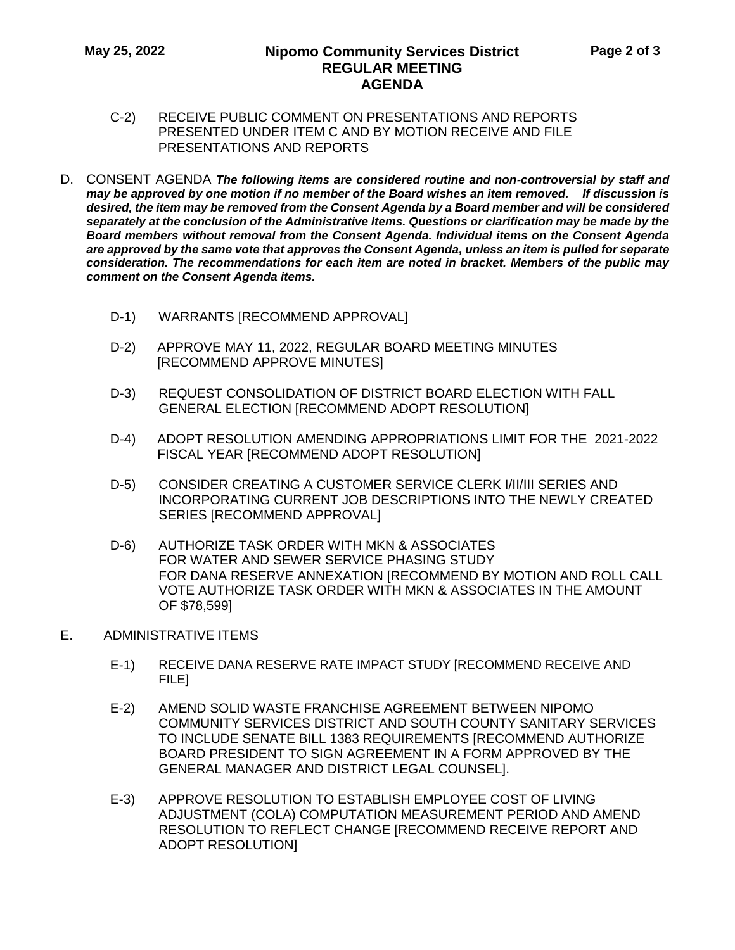### **May 25, 2022 Nipomo Community Services District REGULAR MEETING AGENDA**

- C-2) RECEIVE PUBLIC COMMENT ON PRESENTATIONS AND REPORTS PRESENTED UNDER ITEM C AND BY MOTION RECEIVE AND FILE PRESENTATIONS AND REPORTS
- D. CONSENT AGENDA *The following items are considered routine and non-controversial by staff and may be approved by one motion if no member of the Board wishes an item removed. If discussion is desired, the item may be removed from the Consent Agenda by a Board member and will be considered separately at the conclusion of the Administrative Items. Questions or clarification may be made by the Board members without removal from the Consent Agenda. Individual items on the Consent Agenda are approved by the same vote that approves the Consent Agenda, unless an item is pulled for separate consideration. The recommendations for each item are noted in bracket. Members of the public may comment on the Consent Agenda items.*
	- D-1) WARRANTS [RECOMMEND APPROVAL]
	- D-2) APPROVE MAY 11, 2022, REGULAR BOARD MEETING MINUTES [RECOMMEND APPROVE MINUTES]
	- D-3) REQUEST CONSOLIDATION OF DISTRICT BOARD ELECTION WITH FALL GENERAL ELECTION [RECOMMEND ADOPT RESOLUTION]
	- D-4) ADOPT RESOLUTION AMENDING APPROPRIATIONS LIMIT FOR THE 2021-2022 FISCAL YEAR [RECOMMEND ADOPT RESOLUTION]
	- D-5) CONSIDER CREATING A CUSTOMER SERVICE CLERK I/II/III SERIES AND INCORPORATING CURRENT JOB DESCRIPTIONS INTO THE NEWLY CREATED SERIES [RECOMMEND APPROVAL]
	- D-6) AUTHORIZE TASK ORDER WITH MKN & ASSOCIATES FOR WATER AND SEWER SERVICE PHASING STUDY FOR DANA RESERVE ANNEXATION [RECOMMEND BY MOTION AND ROLL CALL VOTE AUTHORIZE TASK ORDER WITH MKN & ASSOCIATES IN THE AMOUNT OF \$78,599]
- E. ADMINISTRATIVE ITEMS
	- E-1) RECEIVE DANA RESERVE RATE IMPACT STUDY [RECOMMEND RECEIVE AND FILE]
	- E-2) AMEND SOLID WASTE FRANCHISE AGREEMENT BETWEEN NIPOMO COMMUNITY SERVICES DISTRICT AND SOUTH COUNTY SANITARY SERVICES TO INCLUDE SENATE BILL 1383 REQUIREMENTS [RECOMMEND AUTHORIZE BOARD PRESIDENT TO SIGN AGREEMENT IN A FORM APPROVED BY THE GENERAL MANAGER AND DISTRICT LEGAL COUNSEL].
	- E-3) APPROVE RESOLUTION TO ESTABLISH EMPLOYEE COST OF LIVING ADJUSTMENT (COLA) COMPUTATION MEASUREMENT PERIOD AND AMEND RESOLUTION TO REFLECT CHANGE [RECOMMEND RECEIVE REPORT AND ADOPT RESOLUTION]